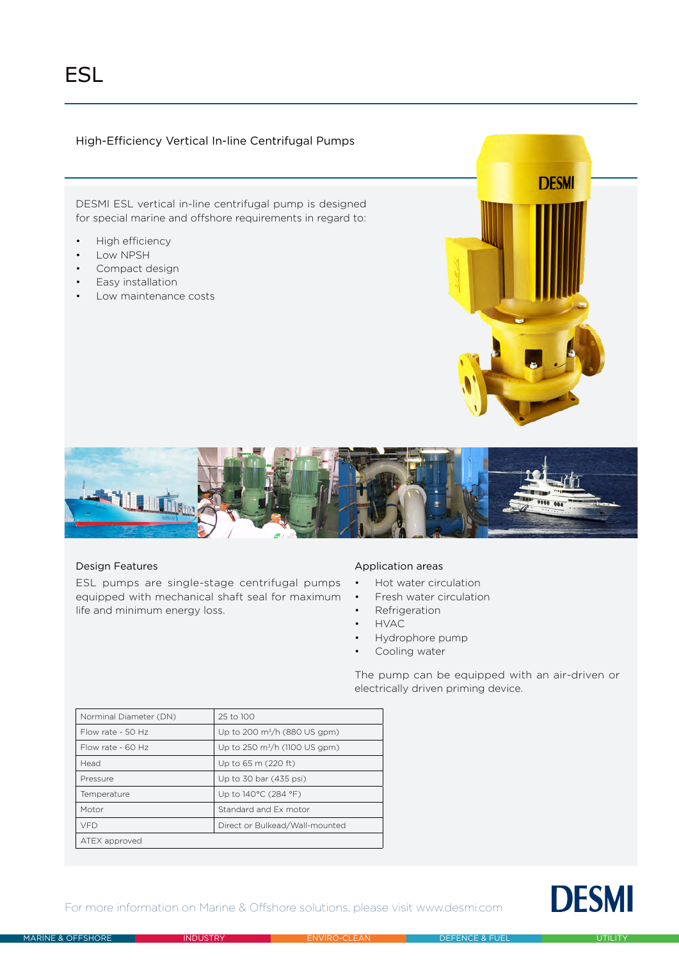# High-Efficiency Vertical In-line Centrifugal Pumps

DESMI ESL vertical in-line centrifugal pump is designed for special marine and offshore requirements in regard to:

- High efficiency
- Low NPSH
- Compact design
- Easy installation
- Low maintenance costs





## Design Features

ESL pumps are single-stage centrifugal pumps equipped with mechanical shaft seal for maximum life and minimum energy loss.

## Application areas

- Hot water circulation
- Fresh water circulation
- Refrigeration
- HVAC
- Hydrophore pump
- Cooling water

The pump can be equipped with an air-driven or electrically driven priming device.

| Norminal Diameter (DN) | 25 to 100                           |  |
|------------------------|-------------------------------------|--|
| Flow rate - $50$ Hz    | Up to 200 $\rm m^3/h$ (880 US gpm)  |  |
| Flow rate - $60$ Hz    | Up to 250 $\rm m^3/h$ (1100 US gpm) |  |
| Head                   | Up to 65 m (220 ft)                 |  |
| Pressure               | Up to 30 bar (435 psi)              |  |
| Temperature            | Up to 140°C (284 °F)                |  |
| Motor                  | Standard and Ex motor               |  |
| <b>VFD</b>             | Direct or Bulkead/Wall-mounted      |  |
| ATEX approved          |                                     |  |

For more information on Marine & Offshore solutions, please visit www.desmi.com